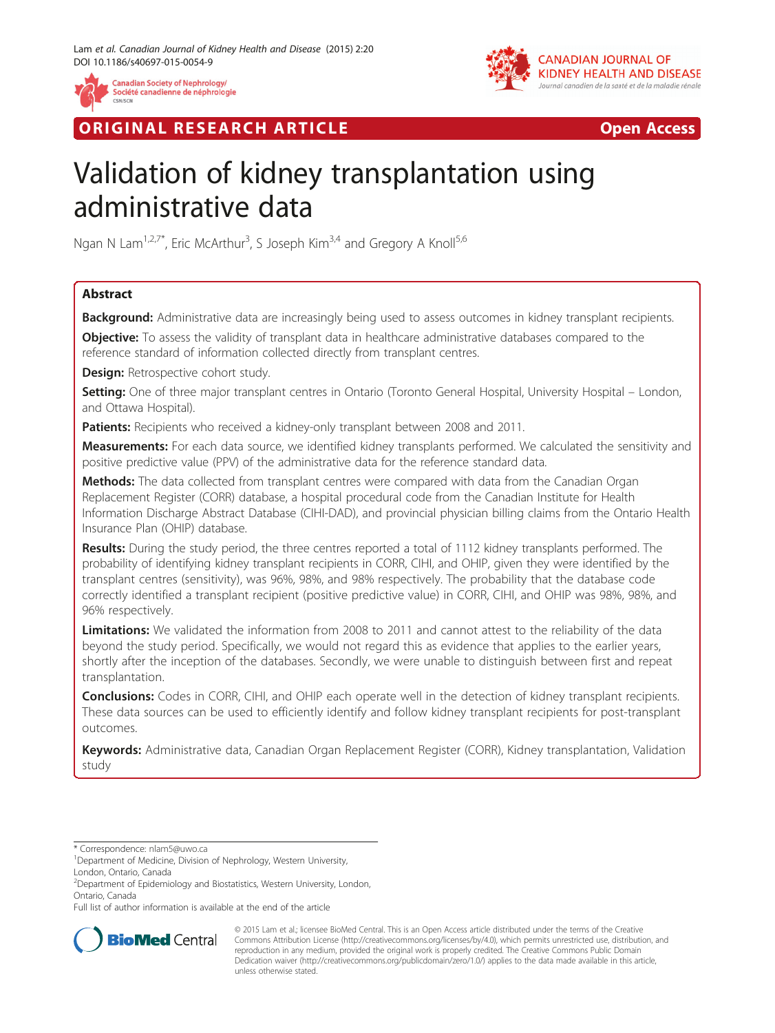



**ORIGINAL RESEARCH ARTICLE CONSUMING ACCESS** 

# Validation of kidney transplantation using administrative data

Ngan N Lam<sup>1,2,7\*</sup>, Eric McArthur<sup>3</sup>, S Joseph Kim<sup>3,4</sup> and Gregory A Knoll<sup>5,6</sup>

## Abstract

**Background:** Administrative data are increasingly being used to assess outcomes in kidney transplant recipients.

**Objective:** To assess the validity of transplant data in healthcare administrative databases compared to the reference standard of information collected directly from transplant centres.

**Design:** Retrospective cohort study.

Setting: One of three major transplant centres in Ontario (Toronto General Hospital, University Hospital – London, and Ottawa Hospital).

Patients: Recipients who received a kidney-only transplant between 2008 and 2011.

Measurements: For each data source, we identified kidney transplants performed. We calculated the sensitivity and positive predictive value (PPV) of the administrative data for the reference standard data.

**Methods:** The data collected from transplant centres were compared with data from the Canadian Organ Replacement Register (CORR) database, a hospital procedural code from the Canadian Institute for Health Information Discharge Abstract Database (CIHI-DAD), and provincial physician billing claims from the Ontario Health Insurance Plan (OHIP) database.

Results: During the study period, the three centres reported a total of 1112 kidney transplants performed. The probability of identifying kidney transplant recipients in CORR, CIHI, and OHIP, given they were identified by the transplant centres (sensitivity), was 96%, 98%, and 98% respectively. The probability that the database code correctly identified a transplant recipient (positive predictive value) in CORR, CIHI, and OHIP was 98%, 98%, and 96% respectively.

Limitations: We validated the information from 2008 to 2011 and cannot attest to the reliability of the data beyond the study period. Specifically, we would not regard this as evidence that applies to the earlier years, shortly after the inception of the databases. Secondly, we were unable to distinguish between first and repeat transplantation.

Conclusions: Codes in CORR, CIHI, and OHIP each operate well in the detection of kidney transplant recipients. These data sources can be used to efficiently identify and follow kidney transplant recipients for post-transplant outcomes.

Keywords: Administrative data, Canadian Organ Replacement Register (CORR), Kidney transplantation, Validation study

\* Correspondence: [nlam5@uwo.ca](mailto:nlam5@uwo.ca) <sup>1</sup>

Full list of author information is available at the end of the article



© 2015 Lam et al.; licensee BioMed Central. This is an Open Access article distributed under the terms of the Creative Commons Attribution License [\(http://creativecommons.org/licenses/by/4.0\)](http://creativecommons.org/licenses/by/4.0), which permits unrestricted use, distribution, and reproduction in any medium, provided the original work is properly credited. The Creative Commons Public Domain Dedication waiver [\(http://creativecommons.org/publicdomain/zero/1.0/](http://creativecommons.org/publicdomain/zero/1.0/)) applies to the data made available in this article, unless otherwise stated.

<sup>&</sup>lt;sup>1</sup>Department of Medicine, Division of Nephrology, Western University, London, Ontario, Canada

<sup>&</sup>lt;sup>2</sup>Department of Epidemiology and Biostatistics, Western University, London, Ontario, Canada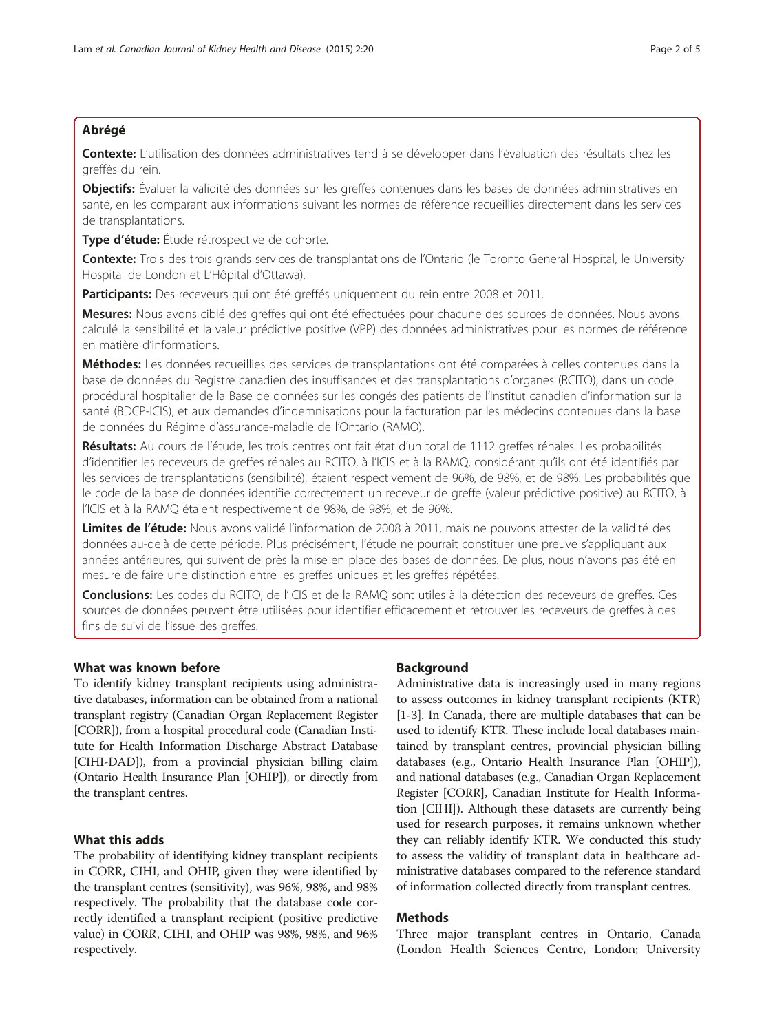## Abrégé

Contexte: L'utilisation des données administratives tend à se développer dans l'évaluation des résultats chez les greffés du rein.

Objectifs: Évaluer la validité des données sur les greffes contenues dans les bases de données administratives en santé, en les comparant aux informations suivant les normes de référence recueillies directement dans les services de transplantations.

Type d'étude: Étude rétrospective de cohorte.

Contexte: Trois des trois grands services de transplantations de l'Ontario (le Toronto General Hospital, le University Hospital de London et L'Hôpital d'Ottawa).

Participants: Des receveurs qui ont été greffés uniquement du rein entre 2008 et 2011.

Mesures: Nous avons ciblé des greffes qui ont été effectuées pour chacune des sources de données. Nous avons calculé la sensibilité et la valeur prédictive positive (VPP) des données administratives pour les normes de référence en matière d'informations.

Méthodes: Les données recueillies des services de transplantations ont été comparées à celles contenues dans la base de données du Registre canadien des insuffisances et des transplantations d'organes (RCITO), dans un code procédural hospitalier de la Base de données sur les congés des patients de l'Institut canadien d'information sur la santé (BDCP-ICIS), et aux demandes d'indemnisations pour la facturation par les médecins contenues dans la base de données du Régime d'assurance-maladie de l'Ontario (RAMO).

Résultats: Au cours de l'étude, les trois centres ont fait état d'un total de 1112 greffes rénales. Les probabilités d'identifier les receveurs de greffes rénales au RCITO, à l'ICIS et à la RAMQ, considérant qu'ils ont été identifiés par les services de transplantations (sensibilité), étaient respectivement de 96%, de 98%, et de 98%. Les probabilités que le code de la base de données identifie correctement un receveur de greffe (valeur prédictive positive) au RCITO, à l'ICIS et à la RAMQ étaient respectivement de 98%, de 98%, et de 96%.

Limites de l'étude: Nous avons validé l'information de 2008 à 2011, mais ne pouvons attester de la validité des données au-delà de cette période. Plus précisément, l'étude ne pourrait constituer une preuve s'appliquant aux années antérieures, qui suivent de près la mise en place des bases de données. De plus, nous n'avons pas été en mesure de faire une distinction entre les greffes uniques et les greffes répétées.

Conclusions: Les codes du RCITO, de l'ICIS et de la RAMQ sont utiles à la détection des receveurs de greffes. Ces sources de données peuvent être utilisées pour identifier efficacement et retrouver les receveurs de greffes à des fins de suivi de l'issue des greffes.

## What was known before

To identify kidney transplant recipients using administrative databases, information can be obtained from a national transplant registry (Canadian Organ Replacement Register [CORR]), from a hospital procedural code (Canadian Institute for Health Information Discharge Abstract Database [CIHI-DAD]), from a provincial physician billing claim (Ontario Health Insurance Plan [OHIP]), or directly from the transplant centres.

## What this adds

The probability of identifying kidney transplant recipients in CORR, CIHI, and OHIP, given they were identified by the transplant centres (sensitivity), was 96%, 98%, and 98% respectively. The probability that the database code correctly identified a transplant recipient (positive predictive value) in CORR, CIHI, and OHIP was 98%, 98%, and 96% respectively.

#### **Background**

Administrative data is increasingly used in many regions to assess outcomes in kidney transplant recipients (KTR) [[1-3\]](#page-4-0). In Canada, there are multiple databases that can be used to identify KTR. These include local databases maintained by transplant centres, provincial physician billing databases (e.g., Ontario Health Insurance Plan [OHIP]), and national databases (e.g., Canadian Organ Replacement Register [CORR], Canadian Institute for Health Information [CIHI]). Although these datasets are currently being used for research purposes, it remains unknown whether they can reliably identify KTR. We conducted this study to assess the validity of transplant data in healthcare administrative databases compared to the reference standard of information collected directly from transplant centres.

## Methods

Three major transplant centres in Ontario, Canada (London Health Sciences Centre, London; University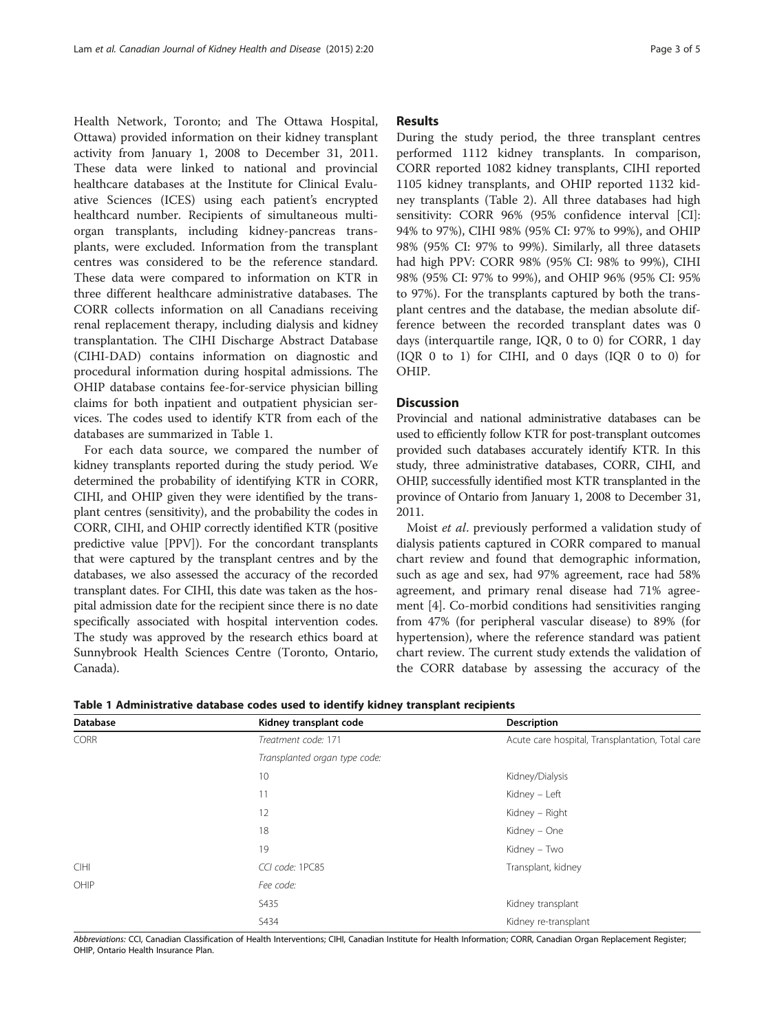Health Network, Toronto; and The Ottawa Hospital, Ottawa) provided information on their kidney transplant activity from January 1, 2008 to December 31, 2011. These data were linked to national and provincial healthcare databases at the Institute for Clinical Evaluative Sciences (ICES) using each patient's encrypted healthcard number. Recipients of simultaneous multiorgan transplants, including kidney-pancreas transplants, were excluded. Information from the transplant centres was considered to be the reference standard. These data were compared to information on KTR in three different healthcare administrative databases. The CORR collects information on all Canadians receiving renal replacement therapy, including dialysis and kidney transplantation. The CIHI Discharge Abstract Database (CIHI-DAD) contains information on diagnostic and procedural information during hospital admissions. The OHIP database contains fee-for-service physician billing claims for both inpatient and outpatient physician services. The codes used to identify KTR from each of the databases are summarized in Table 1.

For each data source, we compared the number of kidney transplants reported during the study period. We determined the probability of identifying KTR in CORR, CIHI, and OHIP given they were identified by the transplant centres (sensitivity), and the probability the codes in CORR, CIHI, and OHIP correctly identified KTR (positive predictive value [PPV]). For the concordant transplants that were captured by the transplant centres and by the databases, we also assessed the accuracy of the recorded transplant dates. For CIHI, this date was taken as the hospital admission date for the recipient since there is no date specifically associated with hospital intervention codes. The study was approved by the research ethics board at Sunnybrook Health Sciences Centre (Toronto, Ontario, Canada).

#### Results

During the study period, the three transplant centres performed 1112 kidney transplants. In comparison, CORR reported 1082 kidney transplants, CIHI reported 1105 kidney transplants, and OHIP reported 1132 kidney transplants (Table [2](#page-3-0)). All three databases had high sensitivity: CORR 96% (95% confidence interval [CI]: 94% to 97%), CIHI 98% (95% CI: 97% to 99%), and OHIP 98% (95% CI: 97% to 99%). Similarly, all three datasets had high PPV: CORR 98% (95% CI: 98% to 99%), CIHI 98% (95% CI: 97% to 99%), and OHIP 96% (95% CI: 95% to 97%). For the transplants captured by both the transplant centres and the database, the median absolute difference between the recorded transplant dates was 0 days (interquartile range, IQR, 0 to 0) for CORR, 1 day (IQR 0 to 1) for CIHI, and 0 days (IQR 0 to 0) for OHIP.

#### **Discussion**

Provincial and national administrative databases can be used to efficiently follow KTR for post-transplant outcomes provided such databases accurately identify KTR. In this study, three administrative databases, CORR, CIHI, and OHIP, successfully identified most KTR transplanted in the province of Ontario from January 1, 2008 to December 31, 2011.

Moist et al. previously performed a validation study of dialysis patients captured in CORR compared to manual chart review and found that demographic information, such as age and sex, had 97% agreement, race had 58% agreement, and primary renal disease had 71% agreement [\[4](#page-4-0)]. Co-morbid conditions had sensitivities ranging from 47% (for peripheral vascular disease) to 89% (for hypertension), where the reference standard was patient chart review. The current study extends the validation of the CORR database by assessing the accuracy of the

Table 1 Administrative database codes used to identify kidney transplant recipients

| Database    | Kidney transplant code        | <b>Description</b>                               |
|-------------|-------------------------------|--------------------------------------------------|
| <b>CORR</b> | Treatment code: 171           | Acute care hospital, Transplantation, Total care |
|             | Transplanted organ type code: |                                                  |
|             | 10                            | Kidney/Dialysis                                  |
|             | 11                            | Kidney - Left                                    |
|             | 12                            | Kidney - Right                                   |
|             | 18                            | Kidney - One                                     |
|             | 19                            | Kidney - Two                                     |
| <b>CIHI</b> | CCI code: 1PC85               | Transplant, kidney                               |
| OHIP        | Fee code:                     |                                                  |
|             | S435                          | Kidney transplant                                |
|             | S434                          | Kidney re-transplant                             |

Abbreviations: CCI, Canadian Classification of Health Interventions; CIHI, Canadian Institute for Health Information; CORR, Canadian Organ Replacement Register; OHIP, Ontario Health Insurance Plan.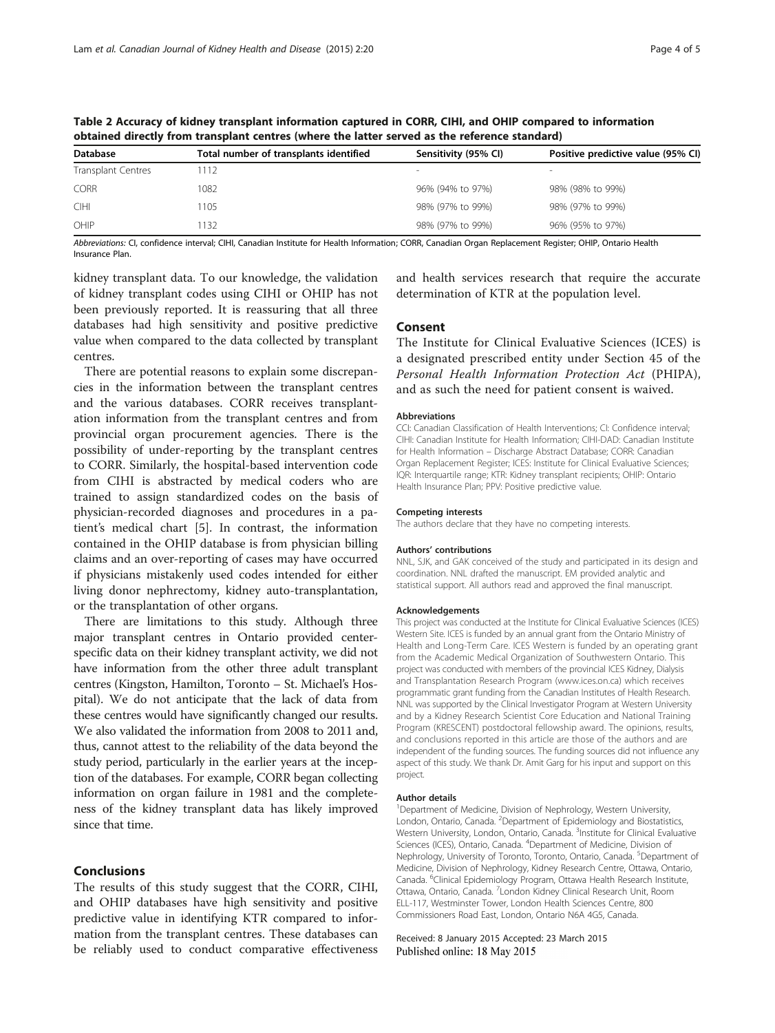| <b>Database</b>           | Total number of transplants identified | Sensitivity (95% CI) | Positive predictive value (95% CI) |  |
|---------------------------|----------------------------------------|----------------------|------------------------------------|--|
| <b>Transplant Centres</b> | 1112                                   |                      |                                    |  |
| <b>CORR</b>               | 1082                                   | 96% (94% to 97%)     | 98% (98% to 99%)                   |  |
| <b>CIHI</b>               | 1105                                   | 98% (97% to 99%)     | 98% (97% to 99%)                   |  |
| OHIP                      | 132                                    | 98% (97% to 99%)     | 96% (95% to 97%)                   |  |
|                           |                                        |                      |                                    |  |

<span id="page-3-0"></span>Table 2 Accuracy of kidney transplant information captured in CORR, CIHI, and OHIP compared to information obtained directly from transplant centres (where the latter served as the reference standard)

Abbreviations: CI, confidence interval; CIHI, Canadian Institute for Health Information; CORR, Canadian Organ Replacement Register; OHIP, Ontario Health Insurance Plan.

kidney transplant data. To our knowledge, the validation of kidney transplant codes using CIHI or OHIP has not been previously reported. It is reassuring that all three databases had high sensitivity and positive predictive value when compared to the data collected by transplant centres.

There are potential reasons to explain some discrepancies in the information between the transplant centres and the various databases. CORR receives transplantation information from the transplant centres and from provincial organ procurement agencies. There is the possibility of under-reporting by the transplant centres to CORR. Similarly, the hospital-based intervention code from CIHI is abstracted by medical coders who are trained to assign standardized codes on the basis of physician-recorded diagnoses and procedures in a patient's medical chart [[5\]](#page-4-0). In contrast, the information contained in the OHIP database is from physician billing claims and an over-reporting of cases may have occurred if physicians mistakenly used codes intended for either living donor nephrectomy, kidney auto-transplantation, or the transplantation of other organs.

There are limitations to this study. Although three major transplant centres in Ontario provided centerspecific data on their kidney transplant activity, we did not have information from the other three adult transplant centres (Kingston, Hamilton, Toronto – St. Michael's Hospital). We do not anticipate that the lack of data from these centres would have significantly changed our results. We also validated the information from 2008 to 2011 and, thus, cannot attest to the reliability of the data beyond the study period, particularly in the earlier years at the inception of the databases. For example, CORR began collecting information on organ failure in 1981 and the completeness of the kidney transplant data has likely improved since that time.

#### Conclusions

The results of this study suggest that the CORR, CIHI, and OHIP databases have high sensitivity and positive predictive value in identifying KTR compared to information from the transplant centres. These databases can be reliably used to conduct comparative effectiveness and health services research that require the accurate determination of KTR at the population level.

### Consent

The Institute for Clinical Evaluative Sciences (ICES) is a designated prescribed entity under Section 45 of the Personal Health Information Protection Act (PHIPA), and as such the need for patient consent is waived.

#### Abbreviations

CCI: Canadian Classification of Health Interventions; CI: Confidence interval; CIHI: Canadian Institute for Health Information; CIHI-DAD: Canadian Institute for Health Information – Discharge Abstract Database; CORR: Canadian Organ Replacement Register; ICES: Institute for Clinical Evaluative Sciences; IQR: Interquartile range; KTR: Kidney transplant recipients; OHIP: Ontario Health Insurance Plan; PPV: Positive predictive value.

#### Competing interests

The authors declare that they have no competing interests.

#### Authors' contributions

NNL, SJK, and GAK conceived of the study and participated in its design and coordination. NNL drafted the manuscript. EM provided analytic and statistical support. All authors read and approved the final manuscript.

#### Acknowledgements

This project was conducted at the Institute for Clinical Evaluative Sciences (ICES) Western Site. ICES is funded by an annual grant from the Ontario Ministry of Health and Long-Term Care. ICES Western is funded by an operating grant from the Academic Medical Organization of Southwestern Ontario. This project was conducted with members of the provincial ICES Kidney, Dialysis and Transplantation Research Program ([www.ices.on.ca\)](http://www.ices.on.ca/) which receives programmatic grant funding from the Canadian Institutes of Health Research. NNL was supported by the Clinical Investigator Program at Western University and by a Kidney Research Scientist Core Education and National Training Program (KRESCENT) postdoctoral fellowship award. The opinions, results, and conclusions reported in this article are those of the authors and are independent of the funding sources. The funding sources did not influence any aspect of this study. We thank Dr. Amit Garg for his input and support on this project.

#### Author details

<sup>1</sup>Department of Medicine, Division of Nephrology, Western University, London, Ontario, Canada. <sup>2</sup> Department of Epidemiology and Biostatistics Western University, London, Ontario, Canada. <sup>3</sup>Institute for Clinical Evaluative Sciences (ICES), Ontario, Canada. <sup>4</sup>Department of Medicine, Division of Nephrology, University of Toronto, Toronto, Ontario, Canada. <sup>5</sup>Department of Medicine, Division of Nephrology, Kidney Research Centre, Ottawa, Ontario, Canada. <sup>6</sup>Clinical Epidemiology Program, Ottawa Health Research Institute Ottawa, Ontario, Canada. <sup>7</sup> London Kidney Clinical Research Unit, Room ELL-117, Westminster Tower, London Health Sciences Centre, 800 Commissioners Road East, London, Ontario N6A 4G5, Canada.

Received: 8 January 2015 Accepted: 23 March 2015 Published online: 18 May 2015